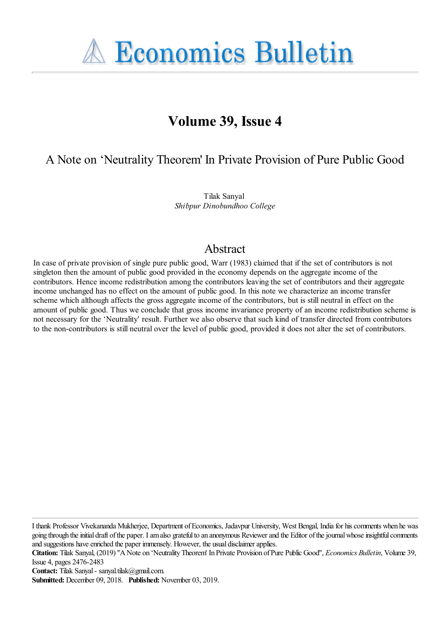**A Economics Bulletin** 

# **Volume 39, Issue 4**

A Note on 'Neutrality Theorem' In Private Provision of Pure Public Good

Tilak Sanyal *Shibpur Dinobundhoo College*

## Abstract

In case of private provision of single pure public good, Warr (1983) claimed that if the set of contributors is not singleton then the amount of public good provided in the economy depends on the aggregate income of the contributors. Hence income redistribution among the contributors leaving the set of contributors and their aggregate income unchanged has no effect on the amount of public good. In this note we characterize an income transfer scheme which although affects the gross aggregate income of the contributors, but is still neutral in effect on the amount of public good. Thus we conclude that gross income invariance property of an income redistribution scheme is not necessary for the 'Neutrality' result. Further we also observe that such kind of transfer directed from contributors to the non-contributors is still neutral over the level of public good, provided it does not alter the set of contributors.

**Contact:** Tilak Sanyal - sanyal.tilak@gmail.com.

I thank Professor Vivekananda Mukherjee, Department of Economics, Jadavpur University, West Bengal, India for his comments when he was going through the initial draft of the paper. I am also grateful to an anonymous Reviewer and the Editor of the journal whose insightful comments and suggestions have enriched the paper immensely. However, the usual disclaimer applies.

**Citation:** Tilak Sanyal, (2019) ''A Note on 'Neutrality Theorem' In Private Provision of Pure Public Good'', *Economics Bulletin*, Volume 39, Issue 4, pages 2476-2483

**Submitted:** December 09, 2018. **Published:** November 03, 2019.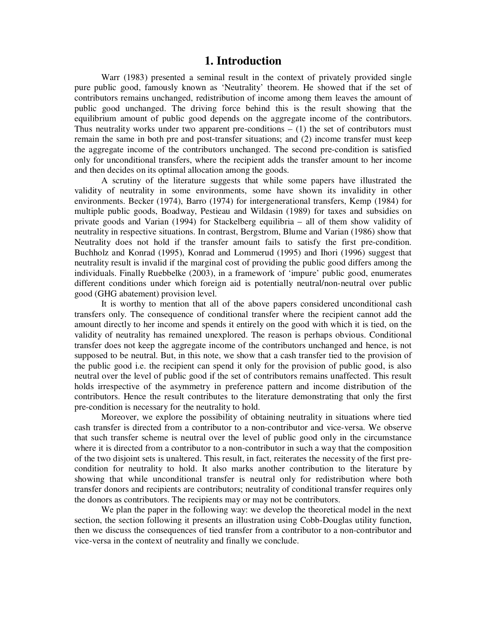#### **1. Introduction**

Warr (1983) presented a seminal result in the context of privately provided single pure public good, famously known as 'Neutrality' theorem. He showed that if the set of contributors remains unchanged, redistribution of income among them leaves the amount of public good unchanged. The driving force behind this is the result showing that the equilibrium amount of public good depends on the aggregate income of the contributors. Thus neutrality works under two apparent pre-conditions  $- (1)$  the set of contributors must remain the same in both pre and post-transfer situations; and (2) income transfer must keep the aggregate income of the contributors unchanged. The second pre-condition is satisfied only for unconditional transfers, where the recipient adds the transfer amount to her income and then decides on its optimal allocation among the goods.

 A scrutiny of the literature suggests that while some papers have illustrated the validity of neutrality in some environments, some have shown its invalidity in other environments. Becker (1974), Barro (1974) for intergenerational transfers, Kemp (1984) for multiple public goods, Boadway, Pestieau and Wildasin (1989) for taxes and subsidies on private goods and Varian (1994) for Stackelberg equilibria – all of them show validity of neutrality in respective situations. In contrast, Bergstrom, Blume and Varian (1986) show that Neutrality does not hold if the transfer amount fails to satisfy the first pre-condition. Buchholz and Konrad (1995), Konrad and Lommerud (1995) and Ihori (1996) suggest that neutrality result is invalid if the marginal cost of providing the public good differs among the individuals. Finally Ruebbelke (2003), in a framework of 'impure' public good, enumerates different conditions under which foreign aid is potentially neutral/non-neutral over public good (GHG abatement) provision level.

 It is worthy to mention that all of the above papers considered unconditional cash transfers only. The consequence of conditional transfer where the recipient cannot add the amount directly to her income and spends it entirely on the good with which it is tied, on the validity of neutrality has remained unexplored. The reason is perhaps obvious. Conditional transfer does not keep the aggregate income of the contributors unchanged and hence, is not supposed to be neutral. But, in this note, we show that a cash transfer tied to the provision of the public good i.e. the recipient can spend it only for the provision of public good, is also neutral over the level of public good if the set of contributors remains unaffected. This result holds irrespective of the asymmetry in preference pattern and income distribution of the contributors. Hence the result contributes to the literature demonstrating that only the first pre-condition is necessary for the neutrality to hold.

 Moreover, we explore the possibility of obtaining neutrality in situations where tied cash transfer is directed from a contributor to a non-contributor and vice-versa. We observe that such transfer scheme is neutral over the level of public good only in the circumstance where it is directed from a contributor to a non-contributor in such a way that the composition of the two disjoint sets is unaltered. This result, in fact, reiterates the necessity of the first precondition for neutrality to hold. It also marks another contribution to the literature by showing that while unconditional transfer is neutral only for redistribution where both transfer donors and recipients are contributors; neutrality of conditional transfer requires only the donors as contributors. The recipients may or may not be contributors.

 We plan the paper in the following way: we develop the theoretical model in the next section, the section following it presents an illustration using Cobb-Douglas utility function, then we discuss the consequences of tied transfer from a contributor to a non-contributor and vice-versa in the context of neutrality and finally we conclude.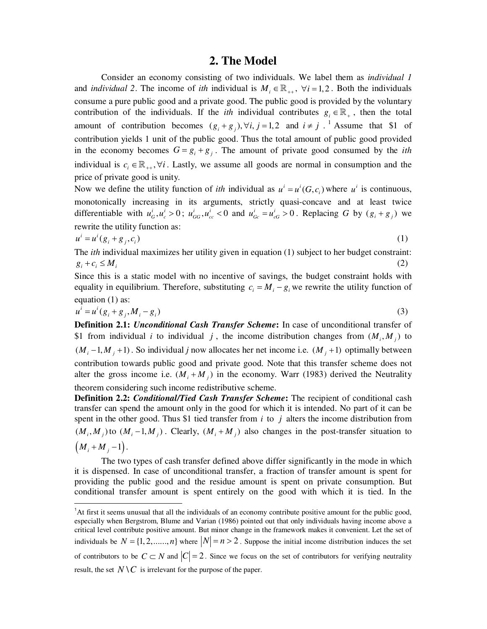#### **2. The Model**

 Consider an economy consisting of two individuals. We label them as *individual 1* and *individual* 2. The income of *ith* individual is  $M_i \in \mathbb{R}_{++}$ ,  $\forall i = 1,2$ . Both the individuals consume a pure public good and a private good. The public good is provided by the voluntary contribution of the individuals. If the *ith* individual contributes  $g_i \in \mathbb{R}_+$ , then the total amount of contribution becomes  $(g_i + g_j), \forall i, j = 1,2$  and  $i \neq j$ . <sup>1</sup> Assume that \$1 of contribution yields 1 unit of the public good. Thus the total amount of public good provided in the economy becomes  $G = g_i + g_j$ . The amount of private good consumed by the *ith* individual is  $c_i \in \mathbb{R}_{++}$ ,  $\forall i$ . Lastly, we assume all goods are normal in consumption and the price of private good is unity.

Now we define the utility function of *ith* individual as  $u^i = u^i(G, c_i)$  where  $u^i$  is continuous, monotonically increasing in its arguments, strictly quasi-concave and at least twice differentiable with  $u_G^i, u_G^i > 0$ ;  $u_{GG}^i, u_{cc}^i < 0$  and  $u_{Gc}^i = u_{cG}^i > 0$ . Replacing *G* by  $(g_i + g_j)$  we rewrite the utility function as:

$$
u^i = u^i(g_i + g_j, c_i) \tag{1}
$$

The *ith* individual maximizes her utility given in equation (1) subject to her budget constraint:  $g_i + c_i \leq M_i$  (2)

Since this is a static model with no incentive of savings, the budget constraint holds with equality in equilibrium. Therefore, substituting  $c_i = M_i - g_i$  we rewrite the utility function of equation (1) as:

$$
u^{i} = u^{i} (g_{i} + g_{j}, M_{i} - g_{i})
$$
\n(3)

**Definition 2.1:** *Unconditional Cash Transfer Scheme***:** In case of unconditional transfer of \$1 from individual *i* to individual *j*, the income distribution changes from  $(M_i, M_i)$  to  $(M_i - 1, M_j + 1)$ . So individual *j* now allocates her net income i.e.  $(M_j + 1)$  optimally between contribution towards public good and private good. Note that this transfer scheme does not alter the gross income i.e.  $(M_i + M_i)$  in the economy. Warr (1983) derived the Neutrality theorem considering such income redistributive scheme.

**Definition 2.2:** *Conditional/Tied Cash Transfer Scheme***:** The recipient of conditional cash transfer can spend the amount only in the good for which it is intended. No part of it can be spent in the other good. Thus \$1 tied transfer from *i* to *j* alters the income distribution from  $(M_i, M_j)$  to  $(M_i - 1, M_j)$ . Clearly,  $(M_i + M_j)$  also changes in the post-transfer situation to  $(M_i + M_j - 1).$ 

The two types of cash transfer defined above differ significantly in the mode in which it is dispensed. In case of unconditional transfer, a fraction of transfer amount is spent for providing the public good and the residue amount is spent on private consumption. But conditional transfer amount is spent entirely on the good with which it is tied. In the

 $\overline{a}$ 

<sup>&</sup>lt;sup>1</sup>At first it seems unusual that all the individuals of an economy contribute positive amount for the public good, especially when Bergstrom, Blume and Varian (1986) pointed out that only individuals having income above a critical level contribute positive amount. But minor change in the framework makes it convenient. Let the set of individuals be  $N = \{1, 2, \ldots, n\}$  where  $|N| = n > 2$ . Suppose the initial income distribution induces the set of contributors to be  $C \subset N$  and  $|C| = 2$ . Since we focus on the set of contributors for verifying neutrality result, the set  $N \setminus C$  is irrelevant for the purpose of the paper.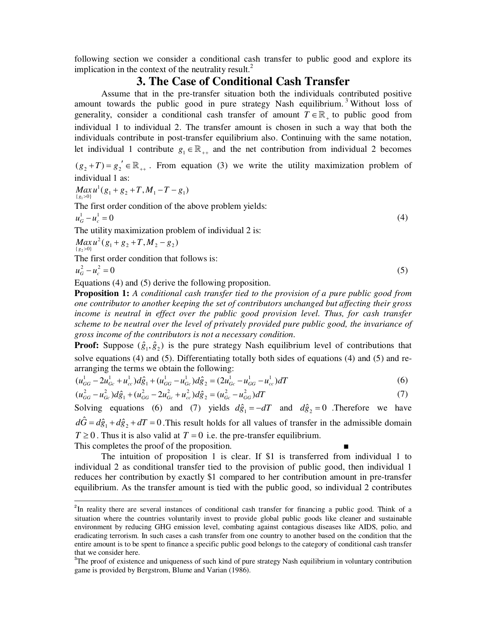following section we consider a conditional cash transfer to public good and explore its implication in the context of the neutrality result.<sup>2</sup>

#### **3. The Case of Conditional Cash Transfer**

 Assume that in the pre-transfer situation both the individuals contributed positive amount towards the public good in pure strategy Nash equilibrium.<sup>3</sup> Without loss of generality, consider a conditional cash transfer of amount  $T \in \mathbb{R}_+$  to public good from individual 1 to individual 2. The transfer amount is chosen in such a way that both the individuals contribute in post-transfer equilibrium also. Continuing with the same notation, let individual 1 contribute  $g_1 \in \mathbb{R}_{++}$  and the net contribution from individual 2 becomes

 $(g_2 + T) = g_2' \in \mathbb{R}_{++}$ . From equation (3) we write the utility maximization problem of individual 1 as:

$$
Max_{\{g_1>0\}} u^1(g_1+g_2+T,M_1-T-g_1)
$$

The first order condition of the above problem yields:

$$
u_G^1 - u_c^1 = 0 \tag{4}
$$

The utility maximization problem of individual 2 is:

$$
Max_{\{g_2>0\}} u^2(g_1+g_2+T,M_2-g_2)
$$

The first order condition that follows is:

 $u_G^2 - u_c^2 = 0$  (5)

 $\overline{a}$ 

Equations (4) and (5) derive the following proposition.

**Proposition 1:** *A conditional cash transfer tied to the provision of a pure public good from one contributor to another keeping the set of contributors unchanged but affecting their gross*  income is neutral in effect over the public good provision level. Thus, for cash transfer *scheme to be neutral over the level of privately provided pure public good, the invariance of gross income of the contributors is not a necessary condition.* 

**Proof:** Suppose  $(\hat{g}_1, \hat{g}_2)$  is the pure strategy Nash equilibrium level of contributions that solve equations (4) and (5). Differentiating totally both sides of equations (4) and (5) and rearranging the terms we obtain the following:

$$
(u_{GG}^1 - 2u_{Gc}^1 + u_{cc}^1)d\hat{g}_1 + (u_{GG}^1 - u_{Gc}^1)d\hat{g}_2 = (2u_{Gc}^1 - u_{GG}^1 - u_{cc}^1)dT
$$
\n
$$
(6)
$$

$$
(u_{GG}^2 - u_{Gc}^2) d\hat{g}_1 + (u_{GG}^2 - 2u_{Gc}^2 + u_{cc}^2) d\hat{g}_2 = (u_{Gc}^2 - u_{GG}^2) dT
$$
\n<sup>(7)</sup>

Solving equations (6) and (7) yields  $d\hat{g}_1 = -dT$  and  $d\hat{g}_2 = 0$ . Therefore we have  $d\hat{G} = d\hat{g}_1 + d\hat{g}_2 + dT = 0$ . This result holds for all values of transfer in the admissible domain  $T \ge 0$ . Thus it is also valid at  $T = 0$  i.e. the pre-transfer equilibrium. This completes the proof of the proposition.

 The intuition of proposition 1 is clear. If \$1 is transferred from individual 1 to individual 2 as conditional transfer tied to the provision of public good, then individual 1 reduces her contribution by exactly \$1 compared to her contribution amount in pre-transfer equilibrium. As the transfer amount is tied with the public good, so individual 2 contributes

<sup>&</sup>lt;sup>2</sup>In reality there are several instances of conditional cash transfer for financing a public good. Think of a situation where the countries voluntarily invest to provide global public goods like cleaner and sustainable environment by reducing GHG emission level, combating against contagious diseases like AIDS, polio, and eradicating terrorism. In such cases a cash transfer from one country to another based on the condition that the entire amount is to be spent to finance a specific public good belongs to the category of conditional cash transfer that we consider here.

<sup>&</sup>lt;sup>3</sup>The proof of existence and uniqueness of such kind of pure strategy Nash equilibrium in voluntary contribution game is provided by Bergstrom, Blume and Varian (1986).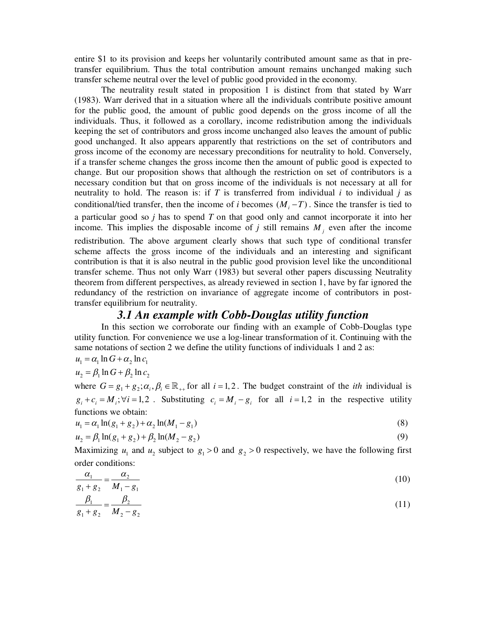entire \$1 to its provision and keeps her voluntarily contributed amount same as that in pretransfer equilibrium. Thus the total contribution amount remains unchanged making such transfer scheme neutral over the level of public good provided in the economy.

 The neutrality result stated in proposition 1 is distinct from that stated by Warr (1983). Warr derived that in a situation where all the individuals contribute positive amount for the public good, the amount of public good depends on the gross income of all the individuals. Thus, it followed as a corollary, income redistribution among the individuals keeping the set of contributors and gross income unchanged also leaves the amount of public good unchanged. It also appears apparently that restrictions on the set of contributors and gross income of the economy are necessary preconditions for neutrality to hold. Conversely, if a transfer scheme changes the gross income then the amount of public good is expected to change. But our proposition shows that although the restriction on set of contributors is a necessary condition but that on gross income of the individuals is not necessary at all for neutrality to hold. The reason is: if *T* is transferred from individual *i* to individual *j* as conditional/tied transfer, then the income of *i* becomes  $(M_i - T)$ . Since the transfer is tied to a particular good so *j* has to spend *T* on that good only and cannot incorporate it into her income. This implies the disposable income of  $j$  still remains  $M_j$  even after the income redistribution. The above argument clearly shows that such type of conditional transfer scheme affects the gross income of the individuals and an interesting and significant contribution is that it is also neutral in the public good provision level like the unconditional transfer scheme. Thus not only Warr (1983) but several other papers discussing Neutrality theorem from different perspectives, as already reviewed in section 1, have by far ignored the redundancy of the restriction on invariance of aggregate income of contributors in posttransfer equilibrium for neutrality.

### *3.1 An example with Cobb-Douglas utility function*

 In this section we corroborate our finding with an example of Cobb-Douglas type utility function. For convenience we use a log-linear transformation of it. Continuing with the same notations of section 2 we define the utility functions of individuals 1 and 2 as:

$$
u_1 = \alpha_1 \ln G + \alpha_2 \ln c_1
$$

$$
u_2 = \beta_1 \ln G + \beta_2 \ln c_2
$$

where  $G = g_1 + g_2$ ;  $\alpha_i, \beta_i \in \mathbb{R}_{++}$  for all  $i = 1, 2$ . The budget constraint of the *ith* individual is  $g_i + c_i = M_i$ ;  $\forall i = 1,2$ . Substituting  $c_i = M_i - g_i$  for all  $i = 1,2$  in the respective utility functions we obtain:

$$
u_1 = \alpha_1 \ln(g_1 + g_2) + \alpha_2 \ln(M_1 - g_1)
$$
\n(8)

$$
u_2 = \beta_1 \ln(g_1 + g_2) + \beta_2 \ln(M_2 - g_2)
$$
\n(9)

Maximizing  $u_1$  and  $u_2$  subject to  $g_1 > 0$  and  $g_2 > 0$  respectively, we have the following first order conditions:

$$
\frac{\alpha_1}{g_1 + g_2} = \frac{\alpha_2}{M_1 - g_1} \tag{10}
$$

$$
\frac{\beta_1}{g_1 + g_2} = \frac{\beta_2}{M_2 - g_2} \tag{11}
$$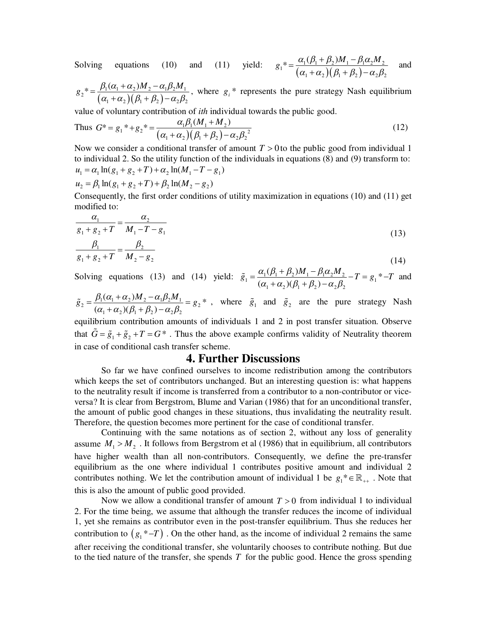Solving equations (10) and (11) yield:  $g_1^* = \frac{\alpha_1 (\rho_1 + \rho_2) m_1}{(\alpha_1 + \alpha_2)(\beta_1 + \beta_2) - \alpha_2 \beta_2}$  $1 + \alpha_2$   $1 + \beta_1 + \beta_2$   $1 - \alpha_2 \beta_2$  $g_1^* = \frac{\alpha_1(\beta_1 + \beta_2)M_1 - \beta_1\alpha_2M_1}{\beta_1(\beta_1 + \beta_2)}$  $(\alpha_1 + \alpha_2)(\beta_1 + \beta_2) - \alpha_2\beta_3$  $=\frac{\alpha_1(\beta_1+\beta_2)M_1-}{\alpha_1(\beta_1+\beta_2)}$  $+\alpha$ <sub>2</sub> )( $\beta$ <sub>1</sub> +  $\beta$ <sub>2</sub>) – and

 $2^* = \frac{p_1(\alpha_1 + \alpha_2)m_2}{(\alpha_1 + \alpha_2)(\beta_1 + \beta_2) - \alpha_2\beta_2}$  $1 + \alpha_2$   $1 + \beta_1 + \beta_2$   $1 - \alpha_2 \beta_2$  $g_2^* = \frac{\beta_1(\alpha_1 + \alpha_2)M_2 - \alpha_1\beta_2M_1}{\beta_1(\alpha_1 - \alpha_2)}$  $(\alpha_1 + \alpha_2)(\beta_1 + \beta_2) - \alpha_2\beta_1$  $=\frac{\beta_1(\alpha_1+\alpha_2)M_2-}{\beta_1(\alpha_1+\alpha_2)M_2-}$  $+\alpha_1 + \alpha_2 + \beta_1 + \beta_2 - \alpha_1 + \beta_3$ , where  $g_i^*$  represents the pure strategy Nash equilibrium  $+\alpha_2 + \beta_3 + \beta_4$ .

value of voluntary contribution of *ith* individual towards the public good.

Thus 
$$
G^* = g_1^* + g_2^* = \frac{\alpha_1 \beta_1 (M_1 + M_2)}{(\alpha_1 + \alpha_2)(\beta_1 + \beta_2) - \alpha_2 \beta_2^2}
$$
 (12)

Now we consider a conditional transfer of amount  $T > 0$  to the public good from individual 1 to individual 2. So the utility function of the individuals in equations (8) and (9) transform to:  $u_1 = \alpha_1 \ln(g_1 + g_2 + T) + \alpha_2 \ln(M_1 - T - g_1)$ 

$$
u_2 = \beta_1 \ln(g_1 + g_2 + T) + \beta_2 \ln(M_2 - g_2)
$$

Consequently, the first order conditions of utility maximization in equations (10) and (11) get modified to:

$$
\frac{\alpha_1}{g_1 + g_2 + T} = \frac{\alpha_2}{M_1 - T - g_1}
$$
\n(13)

$$
\frac{P_1}{g_1 + g_2 + T} = \frac{P_2}{M_2 - g_2} \tag{14}
$$

Solving equations (13) and (14) yield:  $\tilde{g}_1 = \frac{\alpha_1 (\mu_1 + \mu_2) m_1}{(\mu_1 + \mu_2)^2 m_1} \frac{\mu_1 \alpha_2 m_2}{\mu_2 \alpha_2} - T = g_1$  $_1$   $\alpha_2$   $\mu_1$   $_2$   $\alpha_2$   $\alpha_2$   $\alpha_2$  $\frac{(\beta_1 + \beta_2)M_1 - \beta_1\alpha_2M_2}{\beta_1 + \beta_2M_2 - T} = g_1^*$  $(\alpha_1 + \alpha_2)(\beta_1 + \beta_2)$  $\tilde{g}_1 = \frac{\alpha_1 (\beta_1 + \beta_2) M_1 - \beta_1 \alpha_2 M_2}{\beta_1 \beta_2 + \beta_2 M_1} - T = g_1^* - T$  $\alpha_1 + \alpha_2(\beta_1 + \beta_2) - \alpha_2\beta_2$  $=\frac{\alpha_1(\beta_1+\beta_2)M_1-\beta_1\alpha_2M_2}{T_1-T_2-M_2}-T_1=-\frac{g_1}{T_1}+...$  $+\alpha_2(\beta_1+\beta_2) \tilde{g}_1 = \frac{\alpha_1 \nu_1 + \mu_2 \mu_1}{\alpha_1 + \alpha_2 \mu_2} - T = g_1^* - T$  and

 $\alpha_2 = \frac{\mu_1(\alpha_1 + \alpha_2)m_2}{(\alpha_1 + \alpha_2)(\alpha_2 + \alpha_3)} = g_2$  $1 + \alpha_2 \wedge p_1 + p_2 \wedge \alpha_2 p_2$  $\frac{(\alpha_1 + \alpha_2)M_2 - \alpha_1\beta_2M_1}{\alpha_1^2 - \alpha_2^2} = g_2$  $(\alpha_1 + \alpha_2)(\beta_1 + \beta_2)$  $\tilde{g}_2 = \frac{\beta_1(\alpha_1 + \alpha_2)M_2 - \alpha_1\beta_2M_1}{\beta_1(\alpha_1 + \alpha_2)M_2 - \beta_2} = g$  $(\alpha_1 + \alpha_2)(\beta_1 + \beta_2) - \alpha_2\beta_2$  $=\frac{\beta_1(\alpha_1+\alpha_2)M_2-\alpha_1\beta_2M_1}{\beta_1^2}$  $\tilde{g}_2 = \frac{\mu_1(\alpha_1 + \alpha_2)R_2}{(\alpha_1 + \alpha_2)(\beta_1 + \beta_2) - \alpha_2\beta_2} = g_2^*$ , where  $\tilde{g}_1$  and  $\tilde{g}_2$  are the pure strategy Nash

equilibrium contribution amounts of individuals 1 and 2 in post transfer situation. Observe that  $\tilde{G} = \tilde{g}_1 + \tilde{g}_2 + T = G^*$ . Thus the above example confirms validity of Neutrality theorem in case of conditional cash transfer scheme.

#### **4. Further Discussions**

 So far we have confined ourselves to income redistribution among the contributors which keeps the set of contributors unchanged. But an interesting question is: what happens to the neutrality result if income is transferred from a contributor to a non-contributor or viceversa? It is clear from Bergstrom, Blume and Varian (1986) that for an unconditional transfer, the amount of public good changes in these situations, thus invalidating the neutrality result. Therefore, the question becomes more pertinent for the case of conditional transfer.

 Continuing with the same notations as of section 2, without any loss of generality assume  $M_1 > M_2$ . It follows from Bergstrom et al (1986) that in equilibrium, all contributors have higher wealth than all non-contributors. Consequently, we define the pre-transfer equilibrium as the one where individual 1 contributes positive amount and individual 2 contributes nothing. We let the contribution amount of individual 1 be  $g_1^* \in \mathbb{R}_{++}$ . Note that this is also the amount of public good provided.

Now we allow a conditional transfer of amount  $T > 0$  from individual 1 to individual 2. For the time being, we assume that although the transfer reduces the income of individual 1, yet she remains as contributor even in the post-transfer equilibrium. Thus she reduces her contribution to  $(g_1^*$ -*T*). On the other hand, as the income of individual 2 remains the same after receiving the conditional transfer, she voluntarily chooses to contribute nothing. But due to the tied nature of the transfer, she spends *T* for the public good. Hence the gross spending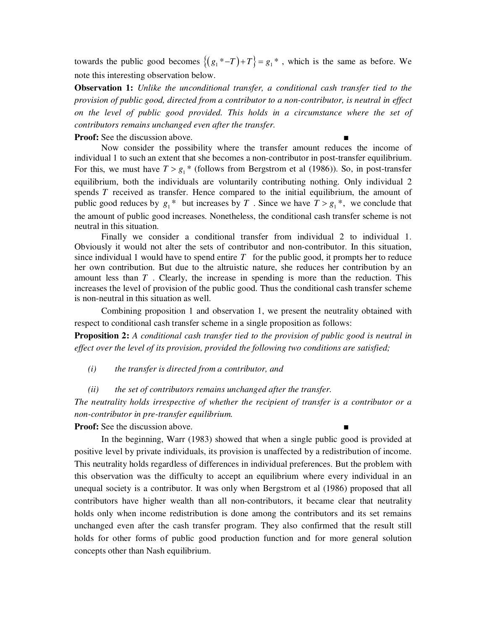towards the public good becomes  $\{(g_1^* - T) + T\} = g_1^*$ , which is the same as before. We note this interesting observation below.

**Observation 1:** *Unlike the unconditional transfer, a conditional cash transfer tied to the provision of public good, directed from a contributor to a non-contributor, is neutral in effect on the level of public good provided. This holds in a circumstance where the set of contributors remains unchanged even after the transfer.*

**Proof:** See the discussion above.

 Now consider the possibility where the transfer amount reduces the income of individual 1 to such an extent that she becomes a non-contributor in post-transfer equilibrium. For this, we must have  $T > g_1^*$  (follows from Bergstrom et al (1986)). So, in post-transfer equilibrium, both the individuals are voluntarily contributing nothing. Only individual 2 spends *T* received as transfer. Hence compared to the initial equilibrium, the amount of public good reduces by  $g_1^*$  but increases by  $T$ . Since we have  $T > g_1^*$ , we conclude that the amount of public good increases. Nonetheless, the conditional cash transfer scheme is not neutral in this situation.

 Finally we consider a conditional transfer from individual 2 to individual 1. Obviously it would not alter the sets of contributor and non-contributor. In this situation, since individual 1 would have to spend entire  $T$  for the public good, it prompts her to reduce her own contribution. But due to the altruistic nature, she reduces her contribution by an amount less than *T* . Clearly, the increase in spending is more than the reduction. This increases the level of provision of the public good. Thus the conditional cash transfer scheme is non-neutral in this situation as well.

Combining proposition 1 and observation 1, we present the neutrality obtained with respect to conditional cash transfer scheme in a single proposition as follows:

**Proposition 2:** *A conditional cash transfer tied to the provision of public good is neutral in effect over the level of its provision, provided the following two conditions are satisfied;* 

*(i) the transfer is directed from a contributor, and* 

*(ii) the set of contributors remains unchanged after the transfer.* 

*The neutrality holds irrespective of whether the recipient of transfer is a contributor or a non-contributor in pre-transfer equilibrium.*

**Proof:** See the discussion above. ■

 In the beginning, Warr (1983) showed that when a single public good is provided at positive level by private individuals, its provision is unaffected by a redistribution of income. This neutrality holds regardless of differences in individual preferences. But the problem with this observation was the difficulty to accept an equilibrium where every individual in an unequal society is a contributor. It was only when Bergstrom et al (1986) proposed that all contributors have higher wealth than all non-contributors, it became clear that neutrality holds only when income redistribution is done among the contributors and its set remains unchanged even after the cash transfer program. They also confirmed that the result still holds for other forms of public good production function and for more general solution concepts other than Nash equilibrium.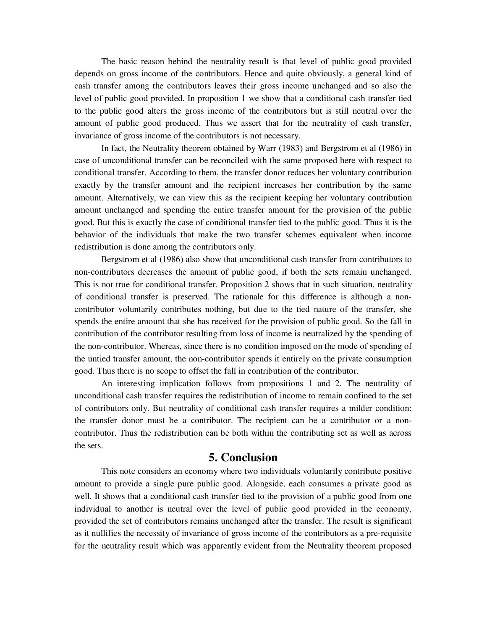The basic reason behind the neutrality result is that level of public good provided depends on gross income of the contributors. Hence and quite obviously, a general kind of cash transfer among the contributors leaves their gross income unchanged and so also the level of public good provided. In proposition 1 we show that a conditional cash transfer tied to the public good alters the gross income of the contributors but is still neutral over the amount of public good produced. Thus we assert that for the neutrality of cash transfer, invariance of gross income of the contributors is not necessary.

 In fact, the Neutrality theorem obtained by Warr (1983) and Bergstrom et al (1986) in case of unconditional transfer can be reconciled with the same proposed here with respect to conditional transfer. According to them, the transfer donor reduces her voluntary contribution exactly by the transfer amount and the recipient increases her contribution by the same amount. Alternatively, we can view this as the recipient keeping her voluntary contribution amount unchanged and spending the entire transfer amount for the provision of the public good. But this is exactly the case of conditional transfer tied to the public good. Thus it is the behavior of the individuals that make the two transfer schemes equivalent when income redistribution is done among the contributors only.

 Bergstrom et al (1986) also show that unconditional cash transfer from contributors to non-contributors decreases the amount of public good, if both the sets remain unchanged. This is not true for conditional transfer. Proposition 2 shows that in such situation, neutrality of conditional transfer is preserved. The rationale for this difference is although a noncontributor voluntarily contributes nothing, but due to the tied nature of the transfer, she spends the entire amount that she has received for the provision of public good. So the fall in contribution of the contributor resulting from loss of income is neutralized by the spending of the non-contributor. Whereas, since there is no condition imposed on the mode of spending of the untied transfer amount, the non-contributor spends it entirely on the private consumption good. Thus there is no scope to offset the fall in contribution of the contributor.

 An interesting implication follows from propositions 1 and 2. The neutrality of unconditional cash transfer requires the redistribution of income to remain confined to the set of contributors only. But neutrality of conditional cash transfer requires a milder condition: the transfer donor must be a contributor. The recipient can be a contributor or a noncontributor. Thus the redistribution can be both within the contributing set as well as across the sets.

#### **5. Conclusion**

 This note considers an economy where two individuals voluntarily contribute positive amount to provide a single pure public good. Alongside, each consumes a private good as well. It shows that a conditional cash transfer tied to the provision of a public good from one individual to another is neutral over the level of public good provided in the economy, provided the set of contributors remains unchanged after the transfer. The result is significant as it nullifies the necessity of invariance of gross income of the contributors as a pre-requisite for the neutrality result which was apparently evident from the Neutrality theorem proposed